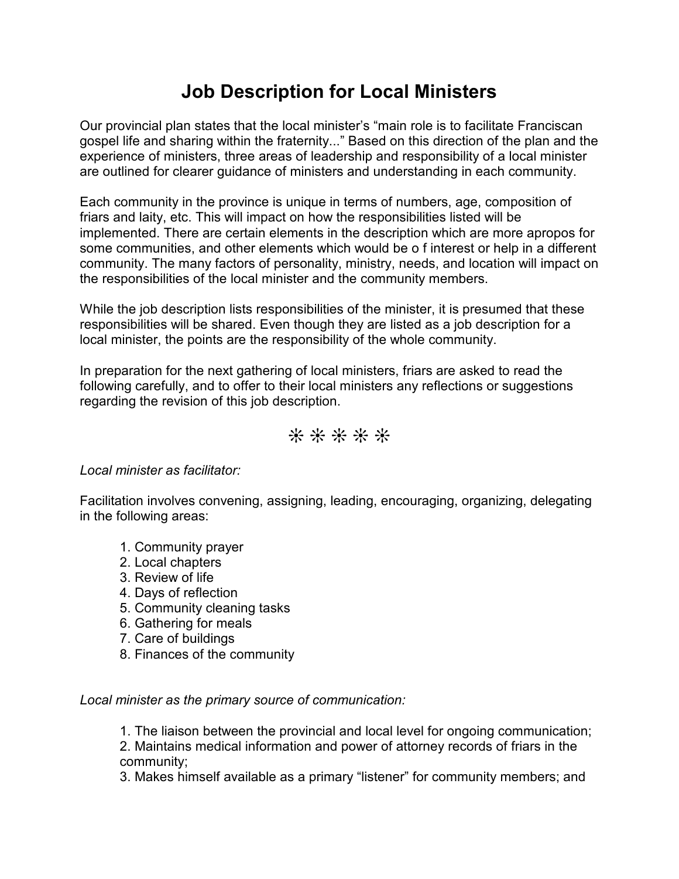# **Job Description for Local Ministers**

Our provincial plan states that the local minister's "main role is to facilitate Franciscan gospel life and sharing within the fraternity..." Based on this direction of the plan and the experience of ministers, three areas of leadership and responsibility of a local minister are outlined for clearer guidance of ministers and understanding in each community.

Each community in the province is unique in terms of numbers, age, composition of friars and laity, etc. This will impact on how the responsibilities listed will be implemented. There are certain elements in the description which are more apropos for some communities, and other elements which would be o f interest or help in a different community. The many factors of personality, ministry, needs, and location will impact on the responsibilities of the local minister and the community members.

While the job description lists responsibilities of the minister, it is presumed that these responsibilities will be shared. Even though they are listed as a job description for a local minister, the points are the responsibility of the whole community.

In preparation for the next gathering of local ministers, friars are asked to read the following carefully, and to offer to their local ministers any reflections or suggestions regarding the revision of this job description.

## **\* \* \* \* \***

### *Local minister as facilitator:*

Facilitation involves convening, assigning, leading, encouraging, organizing, delegating in the following areas:

- 1. Community prayer
- 2. Local chapters
- 3. Review of life
- 4. Days of reflection
- 5. Community cleaning tasks
- 6. Gathering for meals
- 7. Care of buildings
- 8. Finances of the community

#### *Local minister as the primary source of communication:*

1. The liaison between the provincial and local level for ongoing communication;

2. Maintains medical information and power of attorney records of friars in the community;

3. Makes himself available as a primary "listener" for community members; and